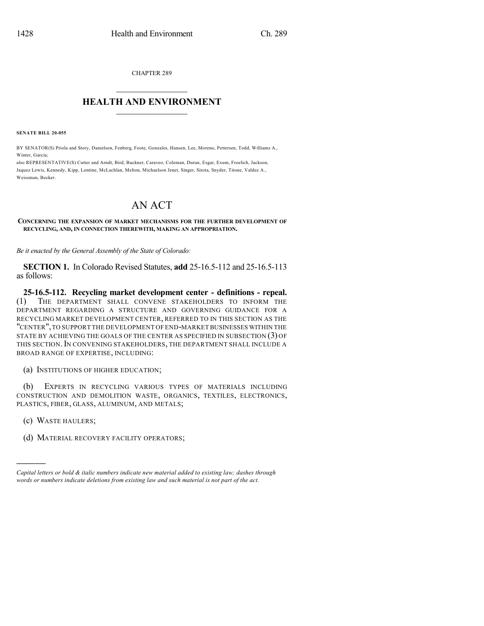CHAPTER 289

## $\overline{\phantom{a}}$  . The set of the set of the set of the set of the set of the set of the set of the set of the set of the set of the set of the set of the set of the set of the set of the set of the set of the set of the set o **HEALTH AND ENVIRONMENT**  $\_$

**SENATE BILL 20-055**

BY SENATOR(S) Priola and Story, Danielson, Fenberg, Foote, Gonzales, Hansen, Lee, Moreno, Pettersen, Todd, Williams A., Winter, Garcia;

also REPRESENTATIVE(S) Cutter and Arndt, Bird, Buckner, Caraveo, Coleman, Duran, Esgar, Exum, Froelich, Jackson, Jaquez Lewis, Kennedy, Kipp, Lontine, McLachlan, Melton, Michaelson Jenet, Singer, Sirota, Snyder, Titone, Valdez A., Weissman, Becker.

## AN ACT

**CONCERNING THE EXPANSION OF MARKET MECHANISMS FOR THE FURTHER DEVELOPMENT OF RECYCLING, AND, IN CONNECTION THEREWITH, MAKING AN APPROPRIATION.**

*Be it enacted by the General Assembly of the State of Colorado:*

**SECTION 1.** In Colorado Revised Statutes, **add** 25-16.5-112 and 25-16.5-113 as follows:

**25-16.5-112. Recycling market development center - definitions - repeal.** (1) THE DEPARTMENT SHALL CONVENE STAKEHOLDERS TO INFORM THE DEPARTMENT REGARDING A STRUCTURE AND GOVERNING GUIDANCE FOR A RECYCLING MARKET DEVELOPMENT CENTER, REFERRED TO IN THIS SECTION AS THE "CENTER",TO SUPPORT THE DEVELOPMENT OF END-MARKET BUSINESSES WITHIN THE STATE BY ACHIEVING THE GOALS OF THE CENTER AS SPECIFIED IN SUBSECTION (3) OF THIS SECTION. IN CONVENING STAKEHOLDERS, THE DEPARTMENT SHALL INCLUDE A BROAD RANGE OF EXPERTISE, INCLUDING:

(a) INSTITUTIONS OF HIGHER EDUCATION;

(b) EXPERTS IN RECYCLING VARIOUS TYPES OF MATERIALS INCLUDING CONSTRUCTION AND DEMOLITION WASTE, ORGANICS, TEXTILES, ELECTRONICS, PLASTICS, FIBER, GLASS, ALUMINUM, AND METALS;

(c) WASTE HAULERS;

)))))

(d) MATERIAL RECOVERY FACILITY OPERATORS;

*Capital letters or bold & italic numbers indicate new material added to existing law; dashes through words or numbers indicate deletions from existing law and such material is not part of the act.*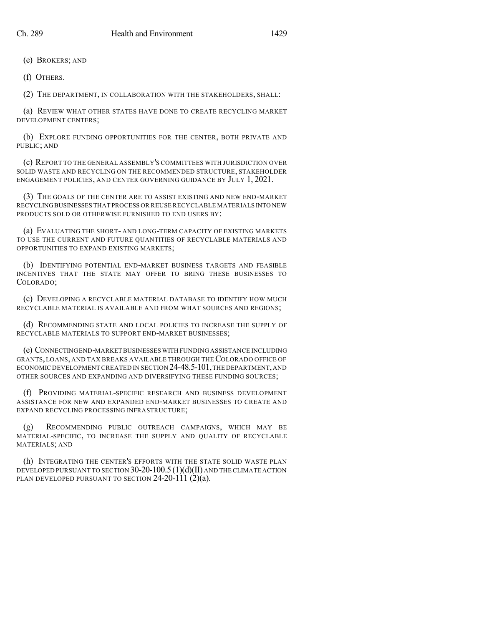(e) BROKERS; AND

(f) OTHERS.

(2) THE DEPARTMENT, IN COLLABORATION WITH THE STAKEHOLDERS, SHALL:

(a) REVIEW WHAT OTHER STATES HAVE DONE TO CREATE RECYCLING MARKET DEVELOPMENT CENTERS;

(b) EXPLORE FUNDING OPPORTUNITIES FOR THE CENTER, BOTH PRIVATE AND PUBLIC; AND

(c) REPORT TO THE GENERAL ASSEMBLY'S COMMITTEES WITH JURISDICTION OVER SOLID WASTE AND RECYCLING ON THE RECOMMENDED STRUCTURE, STAKEHOLDER ENGAGEMENT POLICIES, AND CENTER GOVERNING GUIDANCE BY JULY 1, 2021.

(3) THE GOALS OF THE CENTER ARE TO ASSIST EXISTING AND NEW END-MARKET RECYCLINGBUSINESSES THAT PROCESS OR REUSE RECYCLABLE MATERIALS INTO NEW PRODUCTS SOLD OR OTHERWISE FURNISHED TO END USERS BY:

(a) EVALUATING THE SHORT- AND LONG-TERM CAPACITY OF EXISTING MARKETS TO USE THE CURRENT AND FUTURE QUANTITIES OF RECYCLABLE MATERIALS AND OPPORTUNITIES TO EXPAND EXISTING MARKETS;

(b) IDENTIFYING POTENTIAL END-MARKET BUSINESS TARGETS AND FEASIBLE INCENTIVES THAT THE STATE MAY OFFER TO BRING THESE BUSINESSES TO COLORADO;

(c) DEVELOPING A RECYCLABLE MATERIAL DATABASE TO IDENTIFY HOW MUCH RECYCLABLE MATERIAL IS AVAILABLE AND FROM WHAT SOURCES AND REGIONS;

(d) RECOMMENDING STATE AND LOCAL POLICIES TO INCREASE THE SUPPLY OF RECYCLABLE MATERIALS TO SUPPORT END-MARKET BUSINESSES;

(e) CONNECTINGEND-MARKET BUSINESSES WITH FUNDING ASSISTANCE INCLUDING GRANTS, LOANS, AND TAX BREAKS AVAILABLE THROUGH THECOLORADO OFFICE OF ECONOMIC DEVELOPMENT CREATED IN SECTION 24-48.5-101,THE DEPARTMENT,AND OTHER SOURCES AND EXPANDING AND DIVERSIFYING THESE FUNDING SOURCES;

(f) PROVIDING MATERIAL-SPECIFIC RESEARCH AND BUSINESS DEVELOPMENT ASSISTANCE FOR NEW AND EXPANDED END-MARKET BUSINESSES TO CREATE AND EXPAND RECYCLING PROCESSING INFRASTRUCTURE;

(g) RECOMMENDING PUBLIC OUTREACH CAMPAIGNS, WHICH MAY BE MATERIAL-SPECIFIC, TO INCREASE THE SUPPLY AND QUALITY OF RECYCLABLE MATERIALS; AND

(h) INTEGRATING THE CENTER'S EFFORTS WITH THE STATE SOLID WASTE PLAN DEVELOPED PURSUANT TO SECTION 30-20-100.5 (1)(d)(II) AND THE CLIMATE ACTION PLAN DEVELOPED PURSUANT TO SECTION  $24-20-111(2)(a)$ .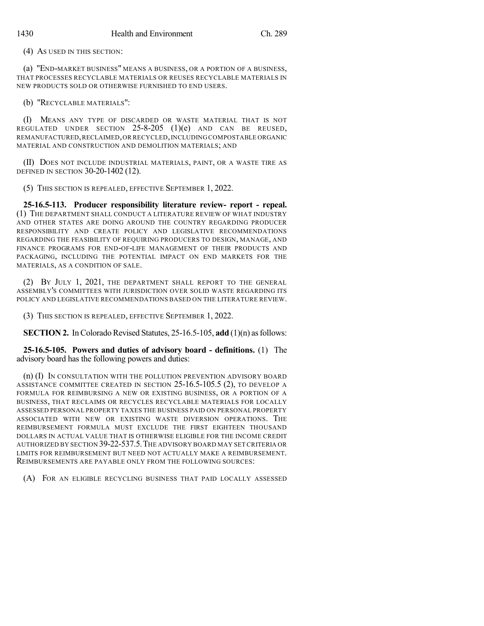(4) AS USED IN THIS SECTION:

(a) "END-MARKET BUSINESS" MEANS A BUSINESS, OR A PORTION OF A BUSINESS, THAT PROCESSES RECYCLABLE MATERIALS OR REUSES RECYCLABLE MATERIALS IN NEW PRODUCTS SOLD OR OTHERWISE FURNISHED TO END USERS.

(b) "RECYCLABLE MATERIALS":

(I) MEANS ANY TYPE OF DISCARDED OR WASTE MATERIAL THAT IS NOT REGULATED UNDER SECTION 25-8-205 (1)(e) AND CAN BE REUSED, REMANUFACTURED,RECLAIMED,OR RECYCLED,INCLUDING COMPOSTABLE ORGANIC MATERIAL AND CONSTRUCTION AND DEMOLITION MATERIALS; AND

(II) DOES NOT INCLUDE INDUSTRIAL MATERIALS, PAINT, OR A WASTE TIRE AS DEFINED IN SECTION 30-20-1402 (12).

(5) THIS SECTION IS REPEALED, EFFECTIVE SEPTEMBER 1, 2022.

**25-16.5-113. Producer responsibility literature review- report - repeal.** (1) THE DEPARTMENT SHALL CONDUCT A LITERATURE REVIEW OF WHAT INDUSTRY AND OTHER STATES ARE DOING AROUND THE COUNTRY REGARDING PRODUCER RESPONSIBILITY AND CREATE POLICY AND LEGISLATIVE RECOMMENDATIONS REGARDING THE FEASIBILITY OF REQUIRING PRODUCERS TO DESIGN, MANAGE, AND FINANCE PROGRAMS FOR END-OF-LIFE MANAGEMENT OF THEIR PRODUCTS AND PACKAGING, INCLUDING THE POTENTIAL IMPACT ON END MARKETS FOR THE MATERIALS, AS A CONDITION OF SALE.

(2) BY JULY 1, 2021, THE DEPARTMENT SHALL REPORT TO THE GENERAL ASSEMBLY'S COMMITTEES WITH JURISDICTION OVER SOLID WASTE REGARDING ITS POLICY AND LEGISLATIVE RECOMMENDATIONS BASED ON THE LITERATURE REVIEW.

(3) THIS SECTION IS REPEALED, EFFECTIVE SEPTEMBER 1, 2022.

**SECTION 2.** In Colorado Revised Statutes, 25-16.5-105, **add** (1)(n) as follows:

**25-16.5-105. Powers and duties of advisory board - definitions.** (1) The advisory board has the following powers and duties:

(n) (I) IN CONSULTATION WITH THE POLLUTION PREVENTION ADVISORY BOARD ASSISTANCE COMMITTEE CREATED IN SECTION 25-16.5-105.5 (2), TO DEVELOP A FORMULA FOR REIMBURSING A NEW OR EXISTING BUSINESS, OR A PORTION OF A BUSINESS, THAT RECLAIMS OR RECYCLES RECYCLABLE MATERIALS FOR LOCALLY ASSESSED PERSONAL PROPERTY TAXES THE BUSINESS PAID ON PERSONAL PROPERTY ASSOCIATED WITH NEW OR EXISTING WASTE DIVERSION OPERATIONS. THE REIMBURSEMENT FORMULA MUST EXCLUDE THE FIRST EIGHTEEN THOUSAND DOLLARS IN ACTUAL VALUE THAT IS OTHERWISE ELIGIBLE FOR THE INCOME CREDIT AUTHORIZED BY SECTION 39-22-537.5.THE ADVISORY BOARD MAY SETCRITERIA OR LIMITS FOR REIMBURSEMENT BUT NEED NOT ACTUALLY MAKE A REIMBURSEMENT. REIMBURSEMENTS ARE PAYABLE ONLY FROM THE FOLLOWING SOURCES:

(A) FOR AN ELIGIBLE RECYCLING BUSINESS THAT PAID LOCALLY ASSESSED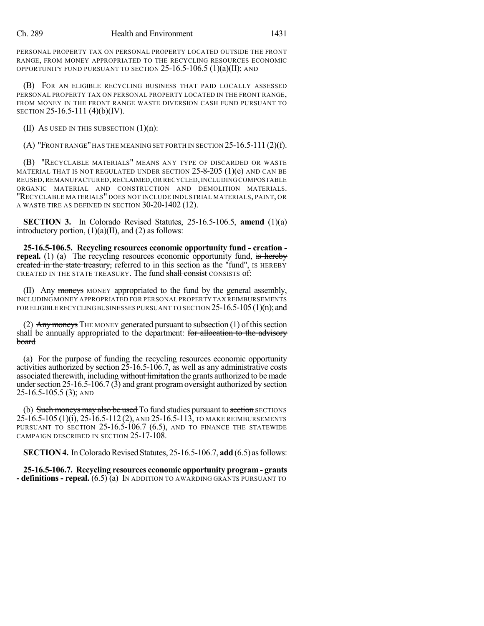PERSONAL PROPERTY TAX ON PERSONAL PROPERTY LOCATED OUTSIDE THE FRONT RANGE, FROM MONEY APPROPRIATED TO THE RECYCLING RESOURCES ECONOMIC OPPORTUNITY FUND PURSUANT TO SECTION  $25$ -16.5-106.5 (1)(a)(II); AND

(B) FOR AN ELIGIBLE RECYCLING BUSINESS THAT PAID LOCALLY ASSESSED PERSONAL PROPERTY TAX ON PERSONAL PROPERTY LOCATED IN THE FRONT RANGE, FROM MONEY IN THE FRONT RANGE WASTE DIVERSION CASH FUND PURSUANT TO SECTION 25-16.5-111 (4)(b)(IV).

(II) As used in this subsection  $(1)(n)$ :

 $(A)$  "Front range" has the meaning set forth in section 25-16.5-111 (2)(f).

(B) "RECYCLABLE MATERIALS" MEANS ANY TYPE OF DISCARDED OR WASTE MATERIAL THAT IS NOT REGULATED UNDER SECTION  $25$ -8-205 (1)(e) and can be REUSED,REMANUFACTURED,RECLAIMED,OR RECYCLED,INCLUDING COMPOSTABLE ORGANIC MATERIAL AND CONSTRUCTION AND DEMOLITION MATERIALS. "RECYCLABLE MATERIALS" DOES NOT INCLUDE INDUSTRIAL MATERIALS, PAINT, OR A WASTE TIRE AS DEFINED IN SECTION 30-20-1402 (12).

**SECTION 3.** In Colorado Revised Statutes, 25-16.5-106.5, **amend** (1)(a) introductory portion,  $(1)(a)(II)$ , and  $(2)$  as follows:

**25-16.5-106.5. Recycling resources economic opportunity fund - creation repeal.** (1) (a) The recycling resources economic opportunity fund, is hereby created in the state treasury, referred to in this section as the "fund", IS HEREBY CREATED IN THE STATE TREASURY. The fund shall consist CONSISTS of:

(II) Any moneys MONEY appropriated to the fund by the general assembly, INCLUDING MONEY APPROPRIATED FOR PERSONAL PROPERTY TAX REIMBURSEMENTS FOR ELIGIBLE RECYCLING BUSINESSES PURSUANT TO SECTION  $25$ -16.5-105 (1)(n); and

(2) Any moneys THE MONEY generated pursuant to subsection  $(1)$  of this section shall be annually appropriated to the department: for allocation to the advisory board

(a) For the purpose of funding the recycling resources economic opportunity activities authorized by section 25-16.5-106.7, as well as any administrative costs associated therewith, including without limitation the grants authorized to be made under section  $25$ -16.5-106.7 (3) and grant program oversight authorized by section 25-16.5-105.5 (3); AND

(b) Such moneys may also be used To fund studies pursuant to section SECTIONS 25-16.5-105 (1)(i), 25-16.5-112 (2), AND 25-16.5-113, TO MAKE REIMBURSEMENTS PURSUANT TO SECTION 25-16.5-106.7 (6.5), AND TO FINANCE THE STATEWIDE CAMPAIGN DESCRIBED IN SECTION 25-17-108.

**SECTION 4.** In Colorado Revised Statutes, 25-16.5-106.7, add (6.5) as follows:

**25-16.5-106.7. Recycling resources economic opportunity program - grants - definitions - repeal.** (6.5) (a) IN ADDITION TO AWARDING GRANTS PURSUANT TO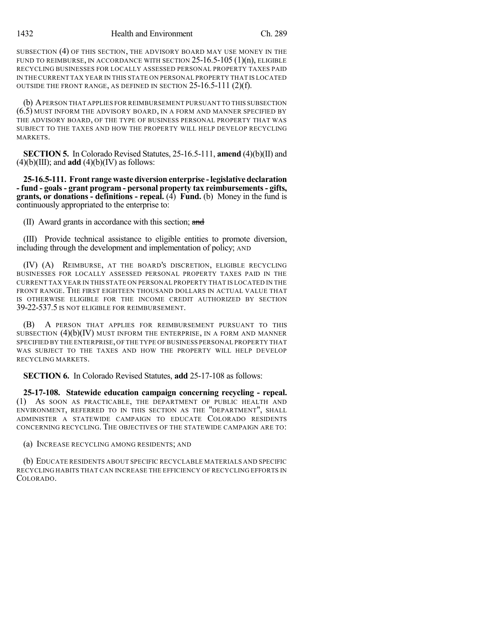SUBSECTION (4) OF THIS SECTION, THE ADVISORY BOARD MAY USE MONEY IN THE FUND TO REIMBURSE, IN ACCORDANCE WITH SECTION 25-16.5-105 (1)(n), ELIGIBLE RECYCLING BUSINESSES FOR LOCALLY ASSESSED PERSONAL PROPERTY TAXES PAID IN THE CURRENT TAX YEAR IN THIS STATE ON PERSONAL PROPERTY THAT IS LOCATED OUTSIDE THE FRONT RANGE, AS DEFINED IN SECTION 25-16.5-111 (2)(f).

(b) APERSON THAT APPLIES FOR REIMBURSEMENT PURSUANT TO THIS SUBSECTION (6.5) MUST INFORM THE ADVISORY BOARD, IN A FORM AND MANNER SPECIFIED BY THE ADVISORY BOARD, OF THE TYPE OF BUSINESS PERSONAL PROPERTY THAT WAS SUBJECT TO THE TAXES AND HOW THE PROPERTY WILL HELP DEVELOP RECYCLING **MARKETS** 

**SECTION 5.** In Colorado Revised Statutes, 25-16.5-111, **amend** (4)(b)(II) and  $(4)(b)(III)$ ; and **add**  $(4)(b)(IV)$  as follows:

**25-16.5-111. Front range waste diversion enterprise -legislative declaration - fund - goals- grant program - personal property tax reimbursements- gifts, grants, or donations - definitions - repeal.** (4) **Fund.** (b) Money in the fund is continuously appropriated to the enterprise to:

(II) Award grants in accordance with this section; and

(III) Provide technical assistance to eligible entities to promote diversion, including through the development and implementation of policy; AND

(IV) (A) REIMBURSE, AT THE BOARD'S DISCRETION, ELIGIBLE RECYCLING BUSINESSES FOR LOCALLY ASSESSED PERSONAL PROPERTY TAXES PAID IN THE CURRENT TAX YEAR IN THIS STATE ON PERSONAL PROPERTY THAT IS LOCATED IN THE FRONT RANGE. THE FIRST EIGHTEEN THOUSAND DOLLARS IN ACTUAL VALUE THAT IS OTHERWISE ELIGIBLE FOR THE INCOME CREDIT AUTHORIZED BY SECTION 39-22-537.5 IS NOT ELIGIBLE FOR REIMBURSEMENT.

(B) A PERSON THAT APPLIES FOR REIMBURSEMENT PURSUANT TO THIS SUBSECTION  $(4)(b)(IV)$  MUST INFORM THE ENTERPRISE, IN A FORM AND MANNER SPECIFIED BY THE ENTERPRISE, OF THE TYPE OF BUSINESS PERSONAL PROPERTY THAT WAS SUBJECT TO THE TAXES AND HOW THE PROPERTY WILL HELP DEVELOP RECYCLING MARKETS.

**SECTION 6.** In Colorado Revised Statutes, **add** 25-17-108 as follows:

**25-17-108. Statewide education campaign concerning recycling - repeal.** (1) AS SOON AS PRACTICABLE, THE DEPARTMENT OF PUBLIC HEALTH AND ENVIRONMENT, REFERRED TO IN THIS SECTION AS THE "DEPARTMENT", SHALL ADMINISTER A STATEWIDE CAMPAIGN TO EDUCATE COLORADO RESIDENTS CONCERNING RECYCLING. THE OBJECTIVES OF THE STATEWIDE CAMPAIGN ARE TO:

(a) INCREASE RECYCLING AMONG RESIDENTS; AND

(b) EDUCATE RESIDENTS ABOUT SPECIFIC RECYCLABLE MATERIALS AND SPECIFIC RECYCLING HABITS THAT CAN INCREASE THE EFFICIENCY OF RECYCLING EFFORTS IN COLORADO.